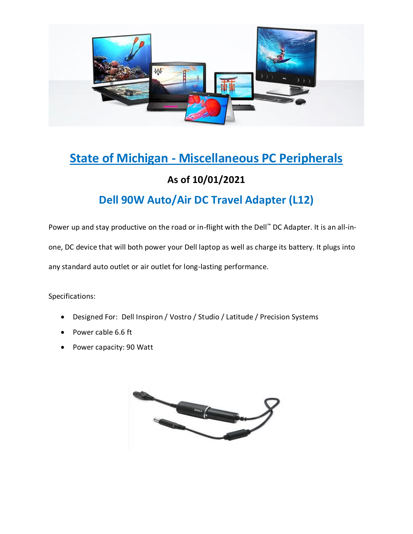

# **State of Michigan - Miscellaneous PC Peripherals**

#### **As of 10/01/2021**

#### **Dell 90W Auto/Air DC Travel Adapter (L12)**

Power up and stay productive on the road or in-flight with the Dell™ DC Adapter. It is an all-inone, DC device that will both power your Dell laptop as well as charge its battery. It plugs into any standard auto outlet or air outlet for long-lasting performance.

- Designed For: Dell Inspiron / Vostro / Studio / Latitude / Precision Systems
- Power cable 6.6 ft
- Power capacity: 90 Watt

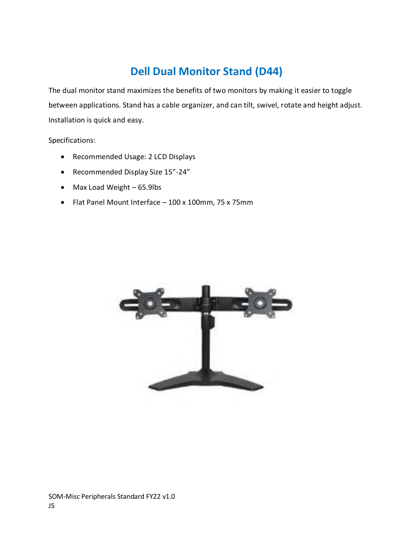### **Dell Dual Monitor Stand (D44)**

The dual monitor stand maximizes the benefits of two monitors by making it easier to toggle between applications. Stand has a cable organizer, and can tilt, swivel, rotate and height adjust. Installation is quick and easy.

- Recommended Usage: 2 LCD Displays
- Recommended Display Size 15"-24"
- Max Load Weight 65.9lbs
- Flat Panel Mount Interface 100 x 100mm, 75 x 75mm

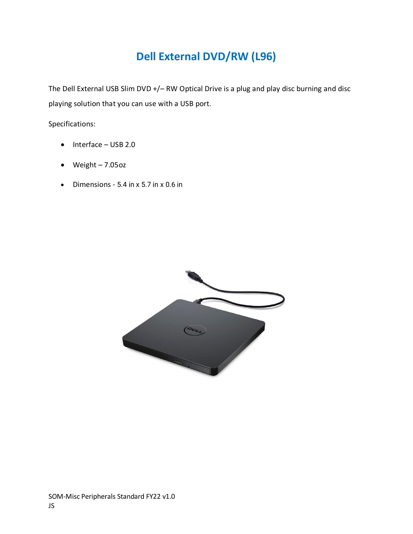## **Dell External DVD/RW (L96)**

The Dell External USB Slim DVD +/– RW Optical Drive is a plug and play disc burning and disc playing solution that you can use with a USB port.

- Interface USB 2.0
- Weight 7.05oz
- Dimensions 5.4 in x 5.7 in x 0.6 in